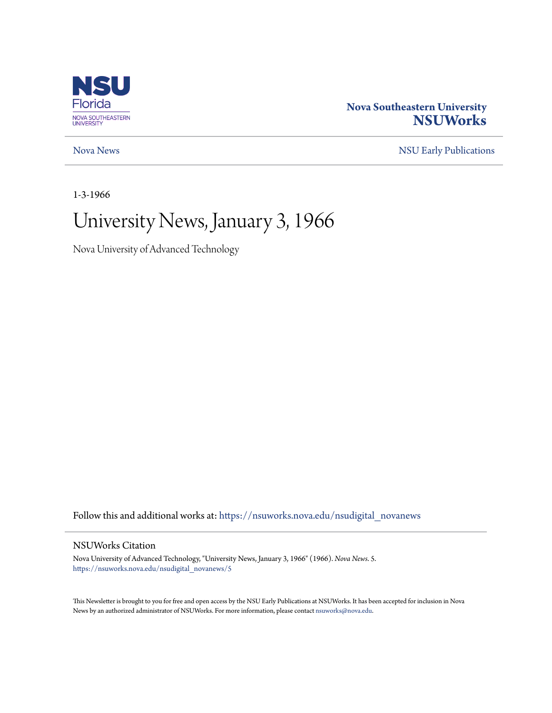

# **Nova Southeastern University [NSUWorks](https://nsuworks.nova.edu?utm_source=nsuworks.nova.edu%2Fnsudigital_novanews%2F5&utm_medium=PDF&utm_campaign=PDFCoverPages)**

[Nova News](https://nsuworks.nova.edu/nsudigital_novanews?utm_source=nsuworks.nova.edu%2Fnsudigital_novanews%2F5&utm_medium=PDF&utm_campaign=PDFCoverPages) [NSU Early Publications](https://nsuworks.nova.edu/nsudigital_earlypubs?utm_source=nsuworks.nova.edu%2Fnsudigital_novanews%2F5&utm_medium=PDF&utm_campaign=PDFCoverPages)

1-3-1966

# University News, January 3, 1966

Nova University of Advanced Technology

Follow this and additional works at: [https://nsuworks.nova.edu/nsudigital\\_novanews](https://nsuworks.nova.edu/nsudigital_novanews?utm_source=nsuworks.nova.edu%2Fnsudigital_novanews%2F5&utm_medium=PDF&utm_campaign=PDFCoverPages)

### NSUWorks Citation

Nova University of Advanced Technology, "University News, January 3, 1966" (1966). *Nova News*. 5. [https://nsuworks.nova.edu/nsudigital\\_novanews/5](https://nsuworks.nova.edu/nsudigital_novanews/5?utm_source=nsuworks.nova.edu%2Fnsudigital_novanews%2F5&utm_medium=PDF&utm_campaign=PDFCoverPages)

This Newsletter is brought to you for free and open access by the NSU Early Publications at NSUWorks. It has been accepted for inclusion in Nova News by an authorized administrator of NSUWorks. For more information, please contact [nsuworks@nova.edu.](mailto:nsuworks@nova.edu)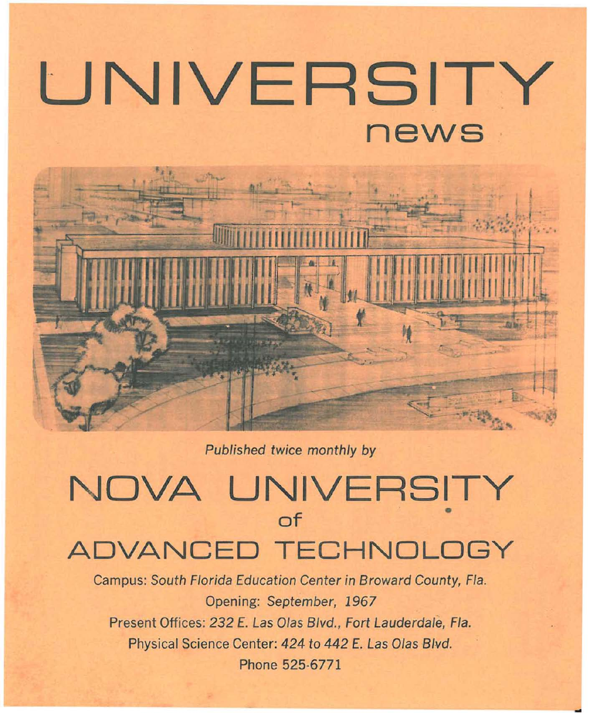# **UNIVERSITY news**

Published twice monthly by

# NOVA UNIVERSITY **of** • **ADVANCED TECHNOLOGY**

Campus: South Florida Education Center in Broward County, Fla. Opening: September, 1967 Present Offices: 232 E. Las Olas Blvd., Fort Lauderdale, Fla. Physical Science Center: 424 to 442 E. Las Olas Blvd. Phone 525·6771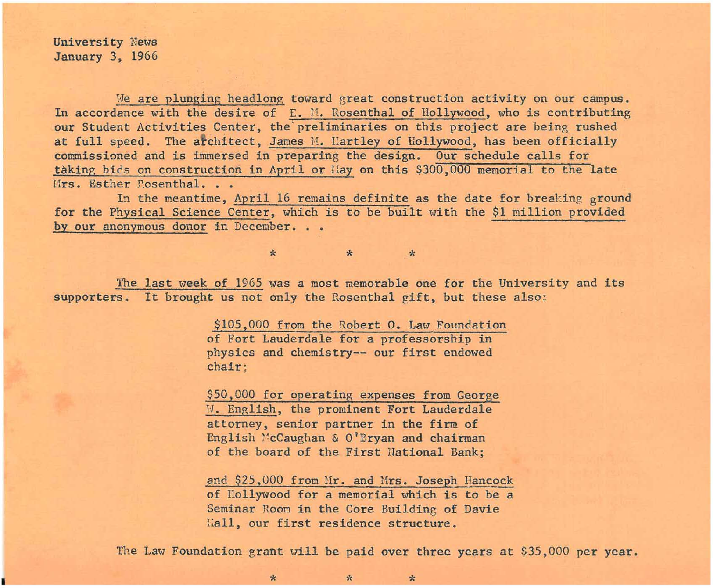University News January 3, 1966

We are plunging headlong toward great construction activity on our campus. In accordance with the desire of  $E.$  M. Rosenthal of Hollywood, who is contributing our Student Activities Center, the preliminaries on this project are being rushed at full speed. The architect, James M. Hartley of Hollywood, has been officially commissioned and is immersed in preparing the design. Our schedule calls for taking bids on construction in April or Hay on this \$300,000 memorial to the late Mrs. Esther Posenthal.

In the meantime, April 16 remains definite as the date for breaking ground for the Physical Science Center, which is to be built with the \$1 million provided by our anonymous donor in December.

The last week of 1965 was a most memorable one for the University and its supporters. It brought us not only the Rosenthal gift, but these also:

\* \* \*

\$105,000 from the Robert O. Law Foundation of Fort Lauderdale for a professorship in physics and chemistry-- our first endowed chair;

\$50,000 for operating expenses from George W. English, the prominent Fort Lauderdale attorney, senior partner in the firm of English McCaughan & O'Bryan and chairman of the board of the First lIational Bank;

and \$25,000 from Mr. and Mrs. Joseph Hancock of Hollywood for a memorial which is to be a Seminar Room in the Core Building of Davie I;all, our first residence structure.

The Law Foundation grant will be paid over three years at \$35,000 per year.

 $\begin{array}{ccc} & & \ast & \ast & \ast \end{array}$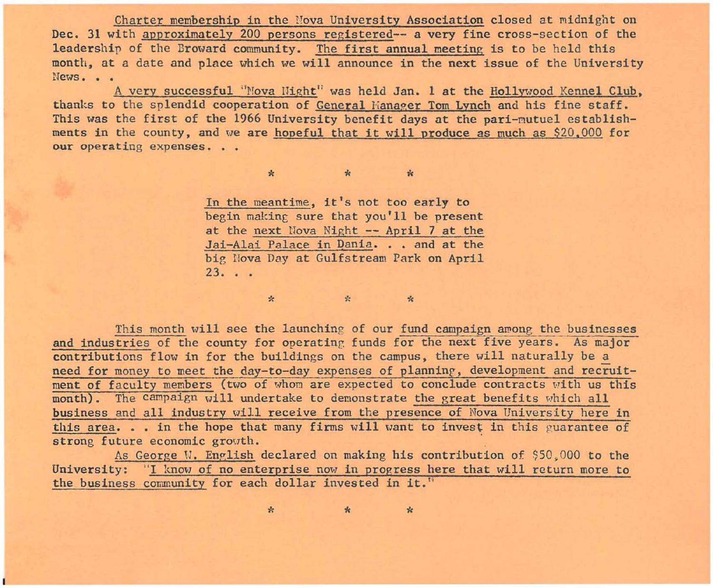Charter membership in the Nova University Association closed at midnight on Dec. 31 with approximately 200 persons registered-- a very fine cross-section of the leadership of the Broward community. The first annual meeting is to be held this month, at a date and place which we will announce in the next issue of the University **News •••** 

A very successful "Nova Hight" was held Jan. 1 at the Hollywood Kennel Club, thanks to the splendid cooperation of General Hanager Tom Lynch and his fine staff. This was the first of the 1966 University benefit days at the pari-mutuel establishments in the county, and we are <u>hopeful that it will produce as much as \$20,000</u> for our operating expenses. . .

> In the meantime, it's not too early to begin making sure that you'll be present at the next Nova Night -- April 7 at the Jai-Alai Palace in Dania. . . and at the big Nova Day at Gulfstream Park on April **23 . . .**

'" '" '"

This month will see the launching of our fund campaign among the businesses and industries of the county for operating funds for the next five years. As major contributions flow in for the buildings on the campus, there will naturally be a need for money to meet the day-to-day expenses of planning, development and recruitment of faculty members (two of whom are expected to conclude contracts with us this month). The campaign will undertake to demonstrate the great benefits which all business and all industry will receive from the presence of Nova University here in this area... in the hope that many firms will want to invest in this guarantee of strong future economic growth.

 $\star$   $\star$   $\star$ 

As George W. English declared on making his contribution of \$50,000 to the University: "I know of no enterprise now in progress here that will return more to the business community for each dollar invested in it."

 $\ddot{x}$   $\ddot{x}$